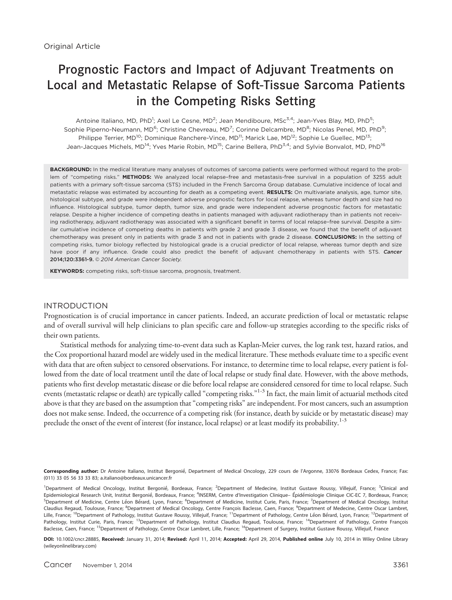# Prognostic Factors and Impact of Adjuvant Treatments on Local and Metastatic Relapse of Soft-Tissue Sarcoma Patients in the Competing Risks Setting

Antoine Italiano, MD, PhD<sup>1</sup>; Axel Le Cesne, MD<sup>2</sup>; Jean Mendiboure, MSc<sup>3,4</sup>; Jean-Yves Blay, MD, PhD<sup>5</sup>; Sophie Piperno-Neumann, MD<sup>6</sup>; Christine Chevreau, MD<sup>7</sup>; Corinne Delcambre, MD<sup>8</sup>; Nicolas Penel, MD, PhD<sup>9</sup>; Philippe Terrier, MD<sup>10</sup>; Dominique Ranchere-Vince, MD<sup>11</sup>; Marick Lae, MD<sup>12</sup>; Sophie Le Guellec, MD<sup>13</sup>; Jean-Jacques Michels, MD<sup>14</sup>; Yves Marie Robin, MD<sup>15</sup>; Carine Bellera, PhD<sup>3,4</sup>; and Sylvie Bonvalot, MD, PhD<sup>16</sup>

BACKGROUND: In the medical literature many analyses of outcomes of sarcoma patients were performed without regard to the problem of "competing risks." METHODS: We analyzed local relapse-free and metastasis-free survival in a population of 3255 adult patients with a primary soft-tissue sarcoma (STS) included in the French Sarcoma Group database. Cumulative incidence of local and metastatic relapse was estimated by accounting for death as a competing event. RESULTS: On multivariate analysis, age, tumor site, histological subtype, and grade were independent adverse prognostic factors for local relapse, whereas tumor depth and size had no influence. Histological subtype, tumor depth, tumor size, and grade were independent adverse prognostic factors for metastatic relapse. Despite a higher incidence of competing deaths in patients managed with adjuvant radiotherapy than in patients not receiving radiotherapy, adjuvant radiotherapy was associated with a significant benefit in terms of local relapse–free survival. Despite a similar cumulative incidence of competing deaths in patients with grade 2 and grade 3 disease, we found that the benefit of adjuvant chemotherapy was present only in patients with grade 3 and not in patients with grade 2 disease. CONCLUSIONS: In the setting of competing risks, tumor biology reflected by histological grade is a crucial predictor of local relapse, whereas tumor depth and size have poor if any influence. Grade could also predict the benefit of adjuvant chemotherapy in patients with STS. Cancer 2014;120:3361-9. © 2014 American Cancer Society.

KEYWORDS: competing risks, soft-tissue sarcoma, prognosis, treatment.

#### INTRODUCTION

Prognostication is of crucial importance in cancer patients. Indeed, an accurate prediction of local or metastatic relapse and of overall survival will help clinicians to plan specific care and follow-up strategies according to the specific risks of their own patients.

Statistical methods for analyzing time-to-event data such as Kaplan-Meier curves, the log rank test, hazard ratios, and the Cox proportional hazard model are widely used in the medical literature. These methods evaluate time to a specific event with data that are often subject to censored observations. For instance, to determine time to local relapse, every patient is followed from the date of local treatment until the date of local relapse or study final date. However, with the above methods, patients who first develop metastatic disease or die before local relapse are considered censored for time to local relapse. Such events (metastatic relapse or death) are typically called "competing risks."<sup>1-3</sup> In fact, the main limit of actuarial methods cited above is that they are based on the assumption that "competing risks" are independent. For most cancers, such an assumption does not make sense. Indeed, the occurrence of a competing risk (for instance, death by suicide or by metastatic disease) may preclude the onset of the event of interest (for instance, local relapse) or at least modify its probability.<sup>1-3</sup>

Corresponding author: Dr Antoine Italiano, Institut Bergonié, Department of Medical Oncology, 229 cours de l'Argonne, 33076 Bordeaux Cedex, France; Fax: (011) 33 05 56 33 33 83; a.italiano@bordeaux.unicancer.fr

<sup>1</sup>Department of Medical Oncology, Institut Bergonié, Bordeaux, France; <sup>2</sup>Department of Medecine, Institut Gustave Roussy, Villejuif, France; <sup>3</sup>Clinical and Epidemiological Research Unit, Institut Bergonié, Bordeaux, France; <sup>4</sup>INSERM, Centre d'Investigation Clinique– Épidémiologie Clinique CIC-EC 7, Bordeaux, France; <sup>5</sup>Department of Medicine, Centre Léon Bérard, Lyon, France; <sup>6</sup>Department of Medicine, Institut Curie, Paris, France; <sup>7</sup>Department of Medical Oncology, Institut Claudius Regaud, Toulouse, France; <sup>8</sup>Department of Medical Oncology, Centre François Baclesse, Caen, France; <sup>9</sup>Department of Medecine, Centre Oscar Lambret, Lille, France; <sup>10</sup>Department of Pathology, Institut Gustave Roussy, Villejuif, France; <sup>11</sup>Department of Pathology, Centre Léon Bérard, Lyon, France; <sup>12</sup>Department of Pathology, Institut Curie, Paris, France; <sup>13</sup>Department of Pathology, Institut Claudius Regaud, Toulouse, France; <sup>14</sup>Department of Pathology, Centre François Baclesse, Caen, France; <sup>15</sup>Department of Pathology, Centre Oscar Lambret, Lille, France; <sup>16</sup>Department of Surgery, Institut Gustave Roussy, Villejuif, France

DOI: 10.1002/cncr.28885, Received: January 31, 2014; Revised: April 11, 2014; Accepted: April 29, 2014, Published online July 10, 2014 in Wiley Online Library (wileyonlinelibrary.com)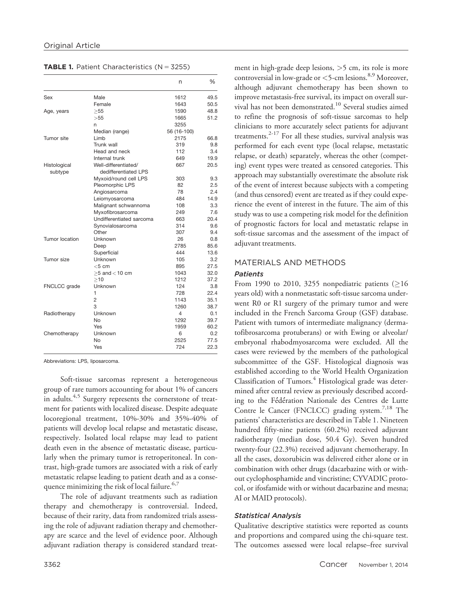|                |                          | n           | $\frac{0}{0}$ |
|----------------|--------------------------|-------------|---------------|
| Sex            | Male                     | 1612        | 49.5          |
|                | Female                   | 1643        | 50.5          |
| Age, years     | >55                      | 1590        | 48.8          |
|                | > 55                     | 1665        | 51.2          |
|                | n                        | 3255        |               |
|                | Median (range)           | 56 (16-100) |               |
| Tumor site     | Limb                     | 2175        | 66.8          |
|                | Trunk wall               | 319         | 9.8           |
|                | Head and neck            | 112         | 3.4           |
|                | Internal trunk           | 649         | 19.9          |
| Histological   | Well-differentiated/     | 667         | 20.5          |
| subtype        | dedifferentiated LPS     |             |               |
|                | Myxoid/round cell LPS    | 303         | 9.3           |
|                | Pleomorphic LPS          | 82          | 2.5           |
|                | Angiosarcoma             | 78          | 2.4           |
|                | Leiomyosarcoma           | 484         | 14.9          |
|                | Malignant schwannoma     | 108         | 3.3           |
|                | Myxofibrosarcoma         | 249         | 7.6           |
|                | Undifferentiated sarcoma | 663         | 20.4          |
|                | Synovialosarcoma         | 314         | 9.6           |
|                | Other                    | 307         | 94            |
| Tumor location | Unknown                  | 26          | 0.8           |
|                | Deep                     | 2785        | 85.6          |
|                | Superficial              | 444         | 13.6          |
| Tumor size     | Unknown                  | 105         | 3.2           |
|                | $<$ 5 cm                 | 895         | 27.5          |
|                | $>5$ and $<$ 10 cm       | 1043        | 32.0          |
|                | >10                      | 1212        | 37.2          |
| FNCLCC grade   | Unknown                  | 124         | 3.8           |
|                | 1                        | 728         | 22.4          |
|                | $\overline{2}$           | 1143        | 35.1          |
|                | 3                        | 1260        | 38.7          |
| Radiotherapy   | Unknown                  | 4           | 0.1           |
|                | N <sub>o</sub>           | 1292        | 39.7          |
|                | Yes                      | 1959        | 60.2          |
| Chemotherapy   | Unknown                  | 6           | 0.2           |
|                | N <sub>o</sub>           | 2525        | 77.5          |
|                | Yes                      | 724         | 22.3          |

**TABLE 1.** Patient Characteristics  $(N = 3255)$ 

Abbreviations: LPS, liposarcoma.

Soft-tissue sarcomas represent a heterogeneous group of rare tumors accounting for about 1% of cancers in adults.<sup>4,5</sup> Surgery represents the cornerstone of treatment for patients with localized disease. Despite adequate locoregional treatment, 10%-30% and 35%-40% of patients will develop local relapse and metastatic disease, respectively. Isolated local relapse may lead to patient death even in the absence of metastatic disease, particularly when the primary tumor is retroperitoneal. In contrast, high-grade tumors are associated with a risk of early metastatic relapse leading to patient death and as a consequence minimizing the risk of local failure. $6,7$ 

The role of adjuvant treatments such as radiation therapy and chemotherapy is controversial. Indeed, because of their rarity, data from randomized trials assessing the role of adjuvant radiation therapy and chemotherapy are scarce and the level of evidence poor. Although adjuvant radiation therapy is considered standard treatment in high-grade deep lesions, >5 cm, its role is more controversial in low-grade or  $<$  5-cm lesions.<sup>8,9</sup> Moreover, although adjuvant chemotherapy has been shown to improve metastasis-free survival, its impact on overall survival has not been demonstrated.<sup>10</sup> Several studies aimed to refine the prognosis of soft-tissue sarcomas to help clinicians to more accurately select patients for adjuvant treatments. $2-17$  For all these studies, survival analysis was performed for each event type (local relapse, metastatic relapse, or death) separately, whereas the other (competing) event types were treated as censored categories. This approach may substantially overestimate the absolute risk of the event of interest because subjects with a competing (and thus censored) event are treated as if they could experience the event of interest in the future. The aim of this study was to use a competing risk model for the definition of prognostic factors for local and metastatic relapse in soft-tissue sarcomas and the assessment of the impact of adjuvant treatments.

## MATERIALS AND METHODS

#### Patients

From 1990 to 2010, 3255 nonpediatric patients ( $\geq$ 16 years old) with a nonmetastatic soft-tissue sarcoma underwent R0 or R1 surgery of the primary tumor and were included in the French Sarcoma Group (GSF) database. Patient with tumors of intermediate malignancy (dermatofibrosarcoma protuberans) or with Ewing or alveolar/ embryonal rhabodmyosarcoma were excluded. All the cases were reviewed by the members of the pathological subcommittee of the GSF. Histological diagnosis was established according to the World Health Organization Classification of Tumors.<sup>4</sup> Histological grade was determined after central review as previously described according to the Fédération Nationale des Centres de Lutte Contre le Cancer (FNCLCC) grading system.<sup>7,18</sup> The patients' characteristics are described in Table 1. Nineteen hundred fifty-nine patients (60.2%) received adjuvant radiotherapy (median dose, 50.4 Gy). Seven hundred twenty-four (22.3%) received adjuvant chemotherapy. In all the cases, doxorubicin was delivered either alone or in combination with other drugs (dacarbazine with or without cyclophosphamide and vincristine; CYVADIC protocol, or ifosfamide with or without dacarbazine and mesna; AI or MAID protocols).

#### Statistical Analysis

Qualitative descriptive statistics were reported as counts and proportions and compared using the chi-square test. The outcomes assessed were local relapse–free survival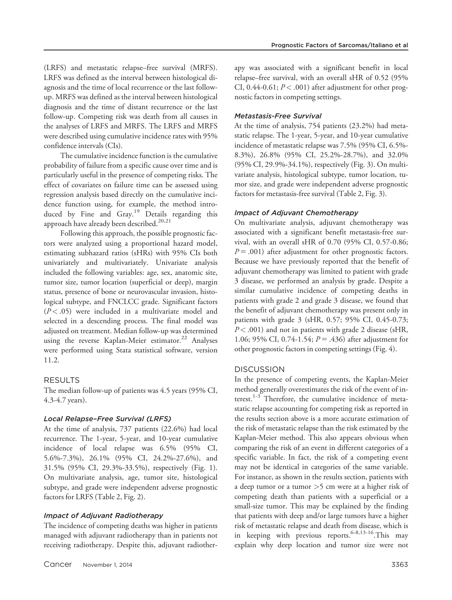(LRFS) and metastatic relapse–free survival (MRFS). LRFS was defined as the interval between histological diagnosis and the time of local recurrence or the last followup. MRFS was defined as the interval between histological diagnosis and the time of distant recurrence or the last follow-up. Competing risk was death from all causes in the analyses of LRFS and MRFS. The LRFS and MRFS were described using cumulative incidence rates with 95% confidence intervals (CIs).

The cumulative incidence function is the cumulative probability of failure from a specific cause over time and is particularly useful in the presence of competing risks. The effect of covariates on failure time can be assessed using regression analysis based directly on the cumulative incidence function using, for example, the method introduced by Fine and Gray.<sup>19</sup> Details regarding this approach have already been described.<sup>20,21</sup>

Following this approach, the possible prognostic factors were analyzed using a proportional hazard model, estimating subhazard ratios (sHRs) with 95% CIs both univariately and multivariately. Univariate analysis included the following variables: age, sex, anatomic site, tumor size, tumor location (superficial or deep), margin status, presence of bone or neurovascular invasion, histological subtype, and FNCLCC grade. Significant factors  $(P < .05)$  were included in a multivariate model and selected in a descending process. The final model was adjusted on treatment. Median follow-up was determined using the reverse Kaplan-Meier estimator.<sup>22</sup> Analyses were performed using Stata statistical software, version 11.2.

## RESULTS

The median follow-up of patients was 4.5 years (95% CI, 4.3-4.7 years).

## Local Relapse–Free Survival (LRFS)

At the time of analysis, 737 patients (22.6%) had local recurrence. The 1-year, 5-year, and 10-year cumulative incidence of local relapse was 6.5% (95% CI, 5.6%-7.3%), 26.1% (95% CI, 24.2%-27.6%), and 31.5% (95% CI, 29.3%-33.5%), respectively (Fig. 1). On multivariate analysis, age, tumor site, histological subtype, and grade were independent adverse prognostic factors for LRFS (Table 2, Fig. 2).

## Impact of Adjuvant Radiotherapy

The incidence of competing deaths was higher in patients managed with adjuvant radiotherapy than in patients not receiving radiotherapy. Despite this, adjuvant radiotherapy was associated with a significant benefit in local relapse–free survival, with an overall sHR of 0.52 (95% CI,  $0.44$ - $0.61$ ;  $P < .001$ ) after adjustment for other prognostic factors in competing settings.

## Metastasis-Free Survival

At the time of analysis, 754 patients (23.2%) had metastatic relapse. The 1-year, 5-year, and 10-year cumulative incidence of metastatic relapse was 7.5% (95% CI, 6.5%- 8.3%), 26.8% (95% CI, 25.2%-28.7%), and 32.0% (95% CI, 29.9%-34.1%), respectively (Fig. 3). On multivariate analysis, histological subtype, tumor location, tumor size, and grade were independent adverse prognostic factors for metastasis-free survival (Table 2, Fig. 3).

## Impact of Adjuvant Chemotherapy

On multivariate analysis, adjuvant chemotherapy was associated with a significant benefit metastasis-free survival, with an overall sHR of 0.70 (95% CI, 0.57-0.86;  $P = .001$ ) after adjustment for other prognostic factors. Because we have previously reported that the benefit of adjuvant chemotherapy was limited to patient with grade 3 disease, we performed an analysis by grade. Despite a similar cumulative incidence of competing deaths in patients with grade 2 and grade 3 disease, we found that the benefit of adjuvant chemotherapy was present only in patients with grade 3 (sHR, 0.57; 95% CI, 0.45-0.73;  $P < .001$ ) and not in patients with grade 2 disease (sHR, 1.06; 95% CI, 0.74-1.54;  $P = .436$ ) after adjustment for other prognostic factors in competing settings (Fig. 4).

## **DISCUSSION**

In the presence of competing events, the Kaplan-Meier method generally overestimates the risk of the event of interest. $1-3$  Therefore, the cumulative incidence of metastatic relapse accounting for competing risk as reported in the results section above is a more accurate estimation of the risk of metastatic relapse than the risk estimated by the Kaplan-Meier method. This also appears obvious when comparing the risk of an event in different categories of a specific variable. In fact, the risk of a competing event may not be identical in categories of the same variable. For instance, as shown in the results section, patients with a deep tumor or a tumor >5 cm were at a higher risk of competing death than patients with a superficial or a small-size tumor. This may be explained by the finding that patients with deep and/or large tumors have a higher risk of metastatic relapse and death from disease, which is in keeping with previous reports.  $6-8,13-16$ . This may explain why deep location and tumor size were not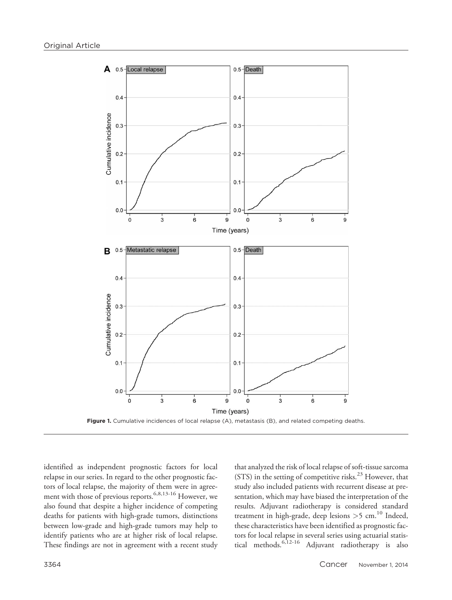

Figure 1. Cumulative incidences of local relapse (A), metastasis (B), and related competing deaths.

identified as independent prognostic factors for local relapse in our series. In regard to the other prognostic factors of local relapse, the majority of them were in agreement with those of previous reports.  $6,8,13-16$  However, we also found that despite a higher incidence of competing deaths for patients with high-grade tumors, distinctions between low-grade and high-grade tumors may help to identify patients who are at higher risk of local relapse. These findings are not in agreement with a recent study that analyzed the risk of local relapse of soft-tissue sarcoma (STS) in the setting of competitive risks.<sup>23</sup> However, that study also included patients with recurrent disease at presentation, which may have biased the interpretation of the results. Adjuvant radiotherapy is considered standard treatment in high-grade, deep lesions  $>5$  cm.<sup>10</sup> Indeed, these characteristics have been identified as prognostic factors for local relapse in several series using actuarial statistical methods.6,12-16 Adjuvant radiotherapy is also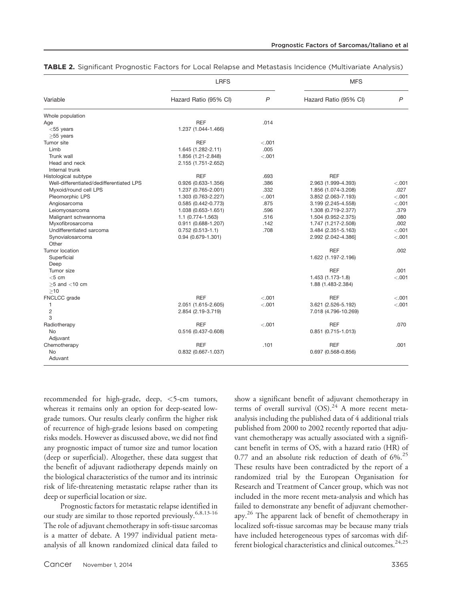|                                          | <b>LRFS</b>            | <b>MFS</b>     |                       |                |
|------------------------------------------|------------------------|----------------|-----------------------|----------------|
| Variable                                 | Hazard Ratio (95% CI)  | $\overline{P}$ | Hazard Ratio (95% CI) | $\overline{P}$ |
| Whole population                         |                        |                |                       |                |
| Age                                      | <b>REF</b>             | .014           |                       |                |
| $<$ 55 years                             | 1.237 (1.044-1.466)    |                |                       |                |
| $\geq$ 55 years                          |                        |                |                       |                |
| Tumor site                               | <b>REF</b>             | < .001         |                       |                |
| Limb                                     | 1.645 (1.282-2.11)     | .005           |                       |                |
| Trunk wall                               | 1.856 (1.21-2.848)     | $-.001$        |                       |                |
| Head and neck                            | 2.155 (1.751-2.652)    |                |                       |                |
| Internal trunk                           |                        |                |                       |                |
| Histological subtype                     | <b>REF</b>             | .693           | <b>REF</b>            |                |
| Well-differentiated/dedifferentiated LPS | 0.926 (0.633-1.356)    | .386           | 2.963 (1.999-4.393)   | < .001         |
| Myxoid/round cell LPS                    | 1.237 (0.765-2.001)    | .332           | 1.856 (1.074-3.208)   | .027           |
| Pleomorphic LPS                          | 1.303 (0.763-2.227)    | < .001         | 3.852 (2.063-7.193)   | < .001         |
| Angiosarcoma                             | 0.585 (0.442-0.773)    | .875           | 3.199 (2.245-4.558)   | < .001         |
| Leiomyosarcoma                           | 1.038 (0.653-1.651)    | .596           | 1.308 (0.719-2.377)   | .379           |
| Malignant schwannoma                     | 1.1 (0.774-1.563)      | .516           | 1.504 (0.952-2.375)   | .080           |
| Myxofibrosarcoma                         | $0.911(0.688 - 1.207)$ | .142           | 1.747 (1.217-2.508)   | .002           |
| Undifferentiated sarcoma                 | $0.752(0.513 - 1.1)$   | .708           | 3.484 (2.351-5.163)   | < .001         |
| Synovialosarcoma                         | $0.94(0.679 - 1.301)$  |                | 2.992 (2.042-4.386)   | < .001         |
| Other                                    |                        |                |                       |                |
| Tumor location                           |                        |                | <b>REF</b>            | .002           |
| Superficial                              |                        |                | 1.622 (1.197-2.196)   |                |
| Deep                                     |                        |                |                       |                |
| Tumor size                               |                        |                | <b>REF</b>            | .001           |
| < 5 cm                                   |                        |                | 1.453 (1.173-1.8)     | $-.001$        |
| $>5$ and $<$ 10 cm                       |                        |                | 1.88 (1.483-2.384)    |                |
| $>10$                                    |                        |                |                       |                |
| FNCLCC grade                             | <b>REF</b>             | $-.001$        | <b>REF</b>            | $-.001$        |
| 1                                        | 2.051 (1.615-2.605)    | < .001         | 3.621 (2.526-5.192)   | < .001         |
| $\overline{c}$                           | 2.854 (2.19-3.719)     |                | 7.018 (4.796-10.269)  |                |
| 3                                        |                        |                |                       |                |
| Radiotherapy                             | <b>REF</b>             | < .001         | <b>REF</b>            | .070           |
| No                                       | 0.516 (0.437-0.608)    |                | $0.851$ (0.715-1.013) |                |
| Adjuvant                                 |                        |                |                       |                |
| Chemotherapy                             | <b>REF</b>             | .101           | <b>REF</b>            | .001           |
| <b>No</b>                                | 0.832 (0.667-1.037)    |                | 0.697 (0.568-0.856)   |                |
| Aduvant                                  |                        |                |                       |                |

|  |  | TABLE 2. Significant Prognostic Factors for Local Relapse and Metastasis Incidence (Multivariate Analysis) |  |  |
|--|--|------------------------------------------------------------------------------------------------------------|--|--|
|--|--|------------------------------------------------------------------------------------------------------------|--|--|

recommended for high-grade, deep, <5-cm tumors, whereas it remains only an option for deep-seated lowgrade tumors. Our results clearly confirm the higher risk of recurrence of high-grade lesions based on competing risks models. However as discussed above, we did not find any prognostic impact of tumor size and tumor location (deep or superficial). Altogether, these data suggest that the benefit of adjuvant radiotherapy depends mainly on the biological characteristics of the tumor and its intrinsic risk of life-threatening metastatic relapse rather than its deep or superficial location or size.

Prognostic factors for metastatic relapse identified in our study are similar to those reported previously.<sup>6,8,13-16</sup> The role of adjuvant chemotherapy in soft-tissue sarcomas is a matter of debate. A 1997 individual patient metaanalysis of all known randomized clinical data failed to

Cancer November 1, 2014 **3365** 

show a significant benefit of adjuvant chemotherapy in terms of overall survival  $(OS).^{24}$  A more recent metaanalysis including the published data of 4 additional trials published from 2000 to 2002 recently reported that adjuvant chemotherapy was actually associated with a significant benefit in terms of OS, with a hazard ratio (HR) of 0.77 and an absolute risk reduction of death of  $6\%$ .<sup>25</sup> These results have been contradicted by the report of a randomized trial by the European Organisation for Research and Treatment of Cancer group, which was not included in the more recent meta-analysis and which has failed to demonstrate any benefit of adjuvant chemotherapy.<sup>26</sup> The apparent lack of benefit of chemotherapy in localized soft-tissue sarcomas may be because many trials have included heterogeneous types of sarcomas with different biological characteristics and clinical outcomes.<sup>24,25</sup>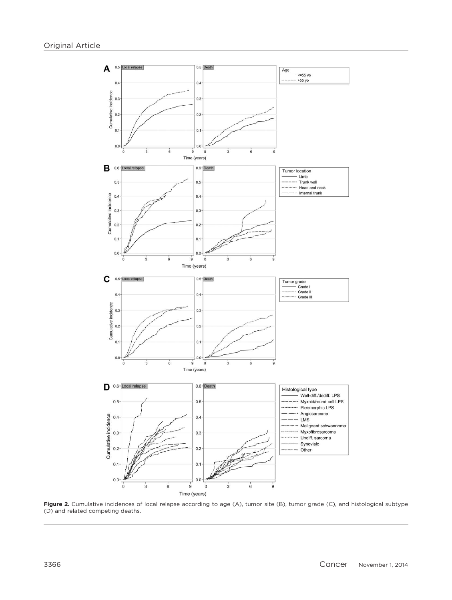

Figure 2. Cumulative incidences of local relapse according to age (A), tumor site (B), tumor grade (C), and histological subtype (D) and related competing deaths.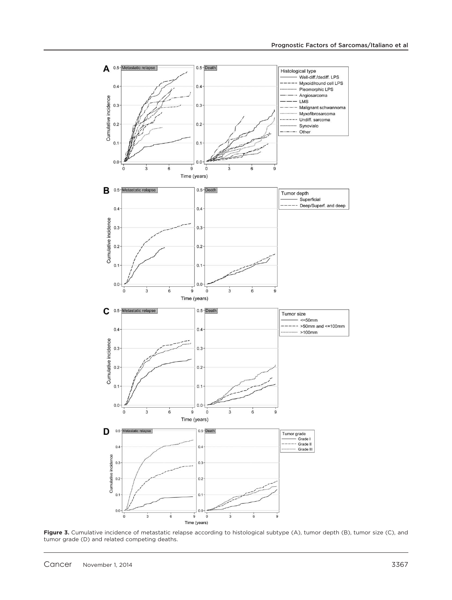

Figure 3. Cumulative incidence of metastatic relapse according to histological subtype (A), tumor depth (B), tumor size (C), and tumor grade (D) and related competing deaths.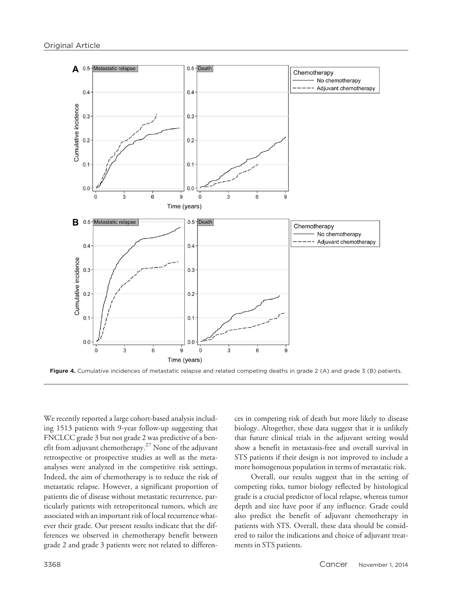



We recently reported a large cohort-based analysis including 1513 patients with 9-year follow-up suggesting that FNCLCC grade 3 but not grade 2 was predictive of a benefit from adjuvant chemotherapy. $27$  None of the adjuvant retrospective or prospective studies as well as the metaanalyses were analyzed in the competitive risk settings. Indeed, the aim of chemotherapy is to reduce the risk of metastatic relapse. However, a significant proportion of patients die of disease without metastatic recurrence, particularly patients with retroperitoneal tumors, which are associated with an important risk of local recurrence whatever their grade. Our present results indicate that the differences we observed in chemotherapy benefit between grade 2 and grade 3 patients were not related to differences in competing risk of death but more likely to disease biology. Altogether, these data suggest that it is unlikely that future clinical trials in the adjuvant setting would show a benefit in metastasis-free and overall survival in STS patients if their design is not improved to include a more homogenous population in terms of metastatic risk.

Overall, our results suggest that in the setting of competing risks, tumor biology reflected by histological grade is a crucial predictor of local relapse, whereas tumor depth and size have poor if any influence. Grade could also predict the benefit of adjuvant chemotherapy in patients with STS. Overall, these data should be considered to tailor the indications and choice of adjuvant treatments in STS patients.